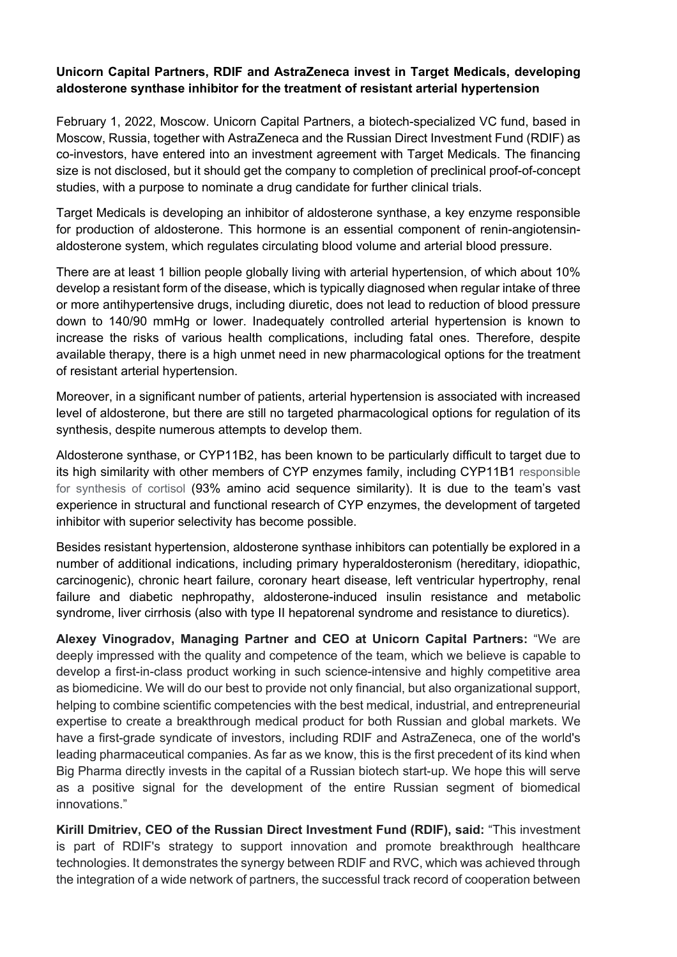## **Unicorn Capital Partners, RDIF and AstraZeneca invest in Target Medicals, developing aldosterone synthase inhibitor for the treatment of resistant arterial hypertension**

February 1, 2022, Moscow. Unicorn Capital Partners, a biotech-specialized VC fund, based in Moscow, Russia, together with AstraZeneca and the Russian Direct Investment Fund (RDIF) as co-investors, have entered into an investment agreement with Target Medicals. The financing size is not disclosed, but it should get the company to completion of preclinical proof-of-concept studies, with a purpose to nominate a drug candidate for further clinical trials.

Target Medicals is developing an inhibitor of aldosterone synthase, a key enzyme responsible for production of aldosterone. This hormone is an essential component of renin-angiotensinaldosterone system, which regulates circulating blood volume and arterial blood pressure.

There are at least 1 billion people globally living with arterial hypertension, of which about 10% develop a resistant form of the disease, which is typically diagnosed when regular intake of three or more antihypertensive drugs, including diuretic, does not lead to reduction of blood pressure down to 140/90 mmHg or lower. Inadequately controlled arterial hypertension is known to increase the risks of various health complications, including fatal ones. Therefore, despite available therapy, there is a high unmet need in new pharmacological options for the treatment of resistant arterial hypertension.

Moreover, in a significant number of patients, arterial hypertension is associated with increased level of aldosterone, but there are still no targeted pharmacological options for regulation of its synthesis, despite numerous attempts to develop them.

Aldosterone synthase, or CYP11B2, has been known to be particularly difficult to target due to its high similarity with other members of CYP enzymes family, including CYP11B1 responsible for synthesis of cortisol (93% amino acid sequence similarity). It is due to the team's vast experience in structural and functional research of CYP enzymes, the development of targeted inhibitor with superior selectivity has become possible.

Besides resistant hypertension, aldosterone synthase inhibitors can potentially be explored in a number of additional indications, including primary hyperaldosteronism (hereditary, idiopathic, carcinogenic), chronic heart failure, coronary heart disease, left ventricular hypertrophy, renal failure and diabetic nephropathy, aldosterone-induced insulin resistance and metabolic syndrome, liver cirrhosis (also with type II hepatorenal syndrome and resistance to diuretics).

**Alexey Vinogradov, Managing Partner and CEO at Unicorn Capital Partners:** "We are deeply impressed with the quality and competence of the team, which we believe is capable to develop a first-in-class product working in such science-intensive and highly competitive area as biomedicine. We will do our best to provide not only financial, but also organizational support, helping to combine scientific competencies with the best medical, industrial, and entrepreneurial expertise to create a breakthrough medical product for both Russian and global markets. We have a first-grade syndicate of investors, including RDIF and AstraZeneca, one of the world's leading pharmaceutical companies. As far as we know, this is the first precedent of its kind when Big Pharma directly invests in the capital of a Russian biotech start-up. We hope this will serve as a positive signal for the development of the entire Russian segment of biomedical innovations."

**Kirill Dmitriev, CEO of the Russian Direct Investment Fund (RDIF), said:** "This investment is part of RDIF's strategy to support innovation and promote breakthrough healthcare technologies. It demonstrates the synergy between RDIF and RVC, which was achieved through the integration of a wide network of partners, the successful track record of cooperation between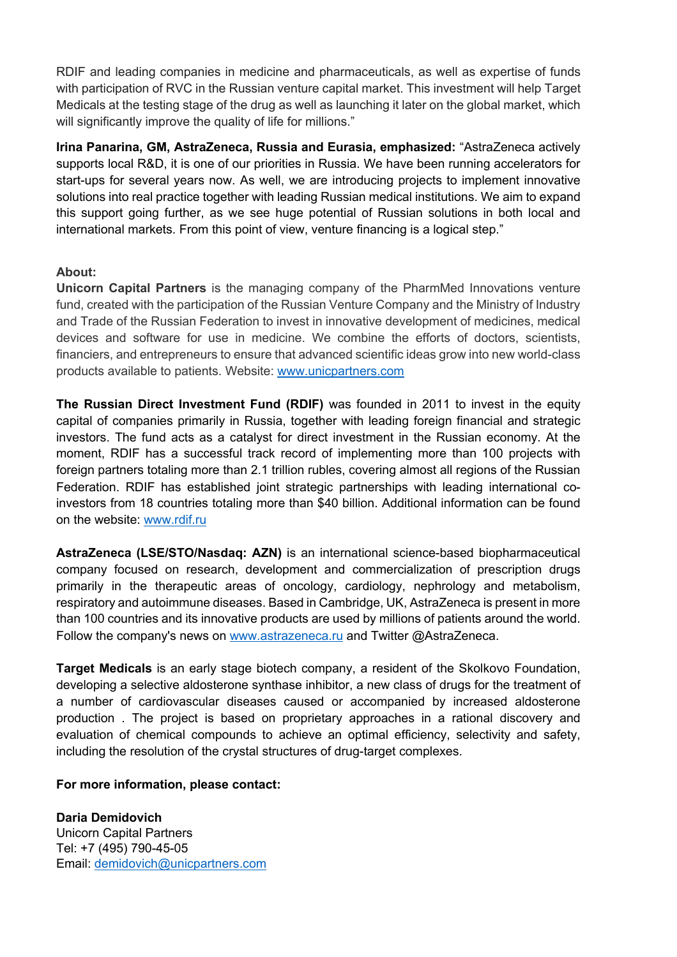RDIF and leading companies in medicine and pharmaceuticals, as well as expertise of funds with participation of RVC in the Russian venture capital market. This investment will help Target Medicals at the testing stage of the drug as well as launching it later on the global market, which will significantly improve the quality of life for millions."

**Irina Panarina, GM, AstraZeneca, Russia and Eurasia, emphasized:** "AstraZeneca actively supports local R&D, it is one of our priorities in Russia. We have been running accelerators for start-ups for several years now. As well, we are introducing projects to implement innovative solutions into real practice together with leading Russian medical institutions. We aim to expand this support going further, as we see huge potential of Russian solutions in both local and international markets. From this point of view, venture financing is a logical step."

## **About:**

**Unicorn Capital Partners** is the managing company of the PharmMed Innovations venture fund, created with the participation of the Russian Venture Company and the Ministry of Industry and Trade of the Russian Federation to invest in innovative development of medicines, medical devices and software for use in medicine. We combine the efforts of doctors, scientists, financiers, and entrepreneurs to ensure that advanced scientific ideas grow into new world-class products available to patients. Website: www.unicpartners.com

**The Russian Direct Investment Fund (RDIF)** was founded in 2011 to invest in the equity capital of companies primarily in Russia, together with leading foreign financial and strategic investors. The fund acts as a catalyst for direct investment in the Russian economy. At the moment, RDIF has a successful track record of implementing more than 100 projects with foreign partners totaling more than 2.1 trillion rubles, covering almost all regions of the Russian Federation. RDIF has established joint strategic partnerships with leading international coinvestors from 18 countries totaling more than \$40 billion. Additional information can be found on the website: www.rdif.ru

**AstraZeneca (LSE/STO/Nasdaq: AZN)** is an international science-based biopharmaceutical company focused on research, development and commercialization of prescription drugs primarily in the therapeutic areas of oncology, cardiology, nephrology and metabolism, respiratory and autoimmune diseases. Based in Cambridge, UK, AstraZeneca is present in more than 100 countries and its innovative products are used by millions of patients around the world. Follow the company's news on www.astrazeneca.ru and Twitter @AstraZeneca.

**Target Medicals** is an early stage biotech company, a resident of the Skolkovo Foundation, developing a selective aldosterone synthase inhibitor, a new class of drugs for the treatment of a number of cardiovascular diseases caused or accompanied by increased aldosterone production . The project is based on proprietary approaches in a rational discovery and evaluation of chemical compounds to achieve an optimal efficiency, selectivity and safety, including the resolution of the crystal structures of drug-target complexes.

## **For more information, please contact:**

**Daria Demidovich** Unicorn Capital Partners Tel: +7 (495) 790-45-05 Email: demidovich@unicpartners.com